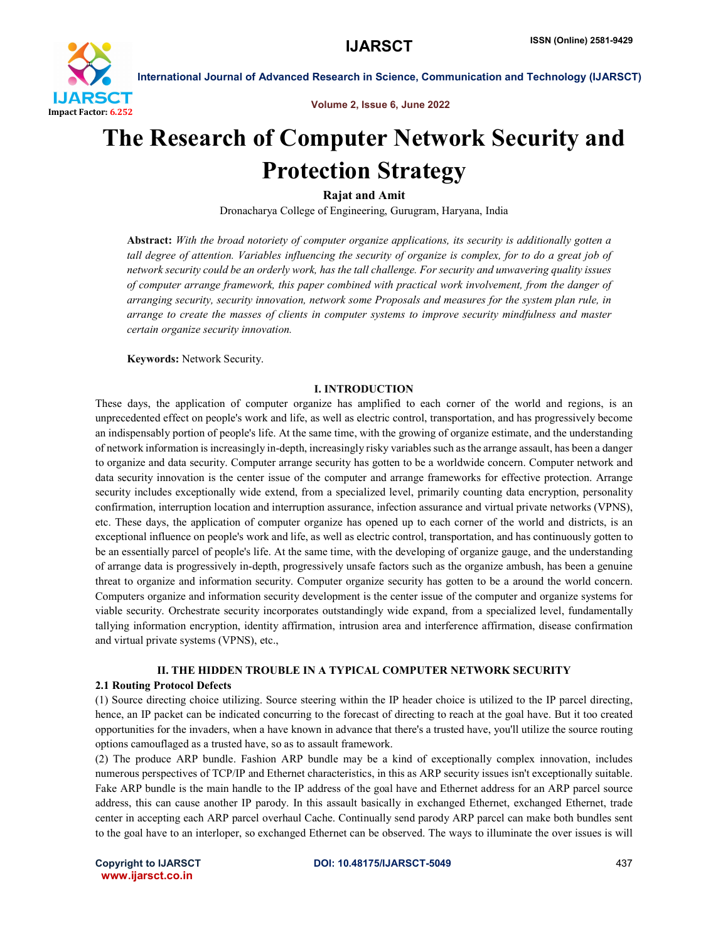

Volume 2, Issue 6, June 2022

# The Research of Computer Network Security and Protection Strategy

# Rajat and Amit

Dronacharya College of Engineering, Gurugram, Haryana, India

Abstract: *With the broad notoriety of computer organize applications, its security is additionally gotten a tall degree of attention. Variables influencing the security of organize is complex, for to do a great job of network security could be an orderly work, has the tall challenge. For security and unwavering quality issues of computer arrange framework, this paper combined with practical work involvement, from the danger of arranging security, security innovation, network some Proposals and measures for the system plan rule, in arrange to create the masses of clients in computer systems to improve security mindfulness and master certain organize security innovation.*

Keywords: Network Security.

#### I. INTRODUCTION

These days, the application of computer organize has amplified to each corner of the world and regions, is an unprecedented effect on people's work and life, as well as electric control, transportation, and has progressively become an indispensably portion of people's life. At the same time, with the growing of organize estimate, and the understanding of network information is increasingly in-depth, increasingly risky variables such as the arrange assault, has been a danger to organize and data security. Computer arrange security has gotten to be a worldwide concern. Computer network and data security innovation is the center issue of the computer and arrange frameworks for effective protection. Arrange security includes exceptionally wide extend, from a specialized level, primarily counting data encryption, personality confirmation, interruption location and interruption assurance, infection assurance and virtual private networks (VPNS), etc. These days, the application of computer organize has opened up to each corner of the world and districts, is an exceptional influence on people's work and life, as well as electric control, transportation, and has continuously gotten to be an essentially parcel of people's life. At the same time, with the developing of organize gauge, and the understanding of arrange data is progressively in-depth, progressively unsafe factors such as the organize ambush, has been a genuine threat to organize and information security. Computer organize security has gotten to be a around the world concern. Computers organize and information security development is the center issue of the computer and organize systems for viable security. Orchestrate security incorporates outstandingly wide expand, from a specialized level, fundamentally tallying information encryption, identity affirmation, intrusion area and interference affirmation, disease confirmation and virtual private systems (VPNS), etc.,

#### II. THE HIDDEN TROUBLE IN A TYPICAL COMPUTER NETWORK SECURITY

#### 2.1 Routing Protocol Defects

(1) Source directing choice utilizing. Source steering within the IP header choice is utilized to the IP parcel directing, hence, an IP packet can be indicated concurring to the forecast of directing to reach at the goal have. But it too created opportunities for the invaders, when a have known in advance that there's a trusted have, you'll utilize the source routing options camouflaged as a trusted have, so as to assault framework.

(2) The produce ARP bundle. Fashion ARP bundle may be a kind of exceptionally complex innovation, includes numerous perspectives of TCP/IP and Ethernet characteristics, in this as ARP security issues isn't exceptionally suitable. Fake ARP bundle is the main handle to the IP address of the goal have and Ethernet address for an ARP parcel source address, this can cause another IP parody. In this assault basically in exchanged Ethernet, exchanged Ethernet, trade center in accepting each ARP parcel overhaul Cache. Continually send parody ARP parcel can make both bundles sent to the goal have to an interloper, so exchanged Ethernet can be observed. The ways to illuminate the over issues is will

www.ijarsct.co.in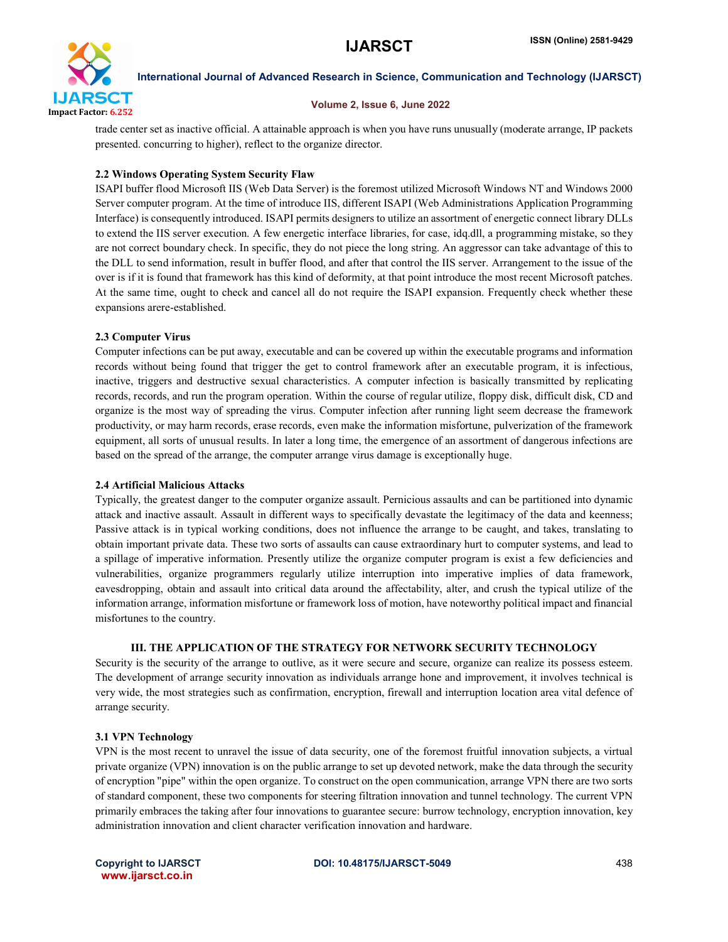

International Journal of Advanced Research in Science, Communication and Technology (IJARSCT)

#### Volume 2, Issue 6, June 2022

trade center set as inactive official. A attainable approach is when you have runs unusually (moderate arrange, IP packets presented. concurring to higher), reflect to the organize director.

### 2.2 Windows Operating System Security Flaw

ISAPI buffer flood Microsoft IIS (Web Data Server) is the foremost utilized Microsoft Windows NT and Windows 2000 Server computer program. At the time of introduce IIS, different ISAPI (Web Administrations Application Programming Interface) is consequently introduced. ISAPI permits designers to utilize an assortment of energetic connect library DLLs to extend the IIS server execution. A few energetic interface libraries, for case, idq.dll, a programming mistake, so they are not correct boundary check. In specific, they do not piece the long string. An aggressor can take advantage of this to the DLL to send information, result in buffer flood, and after that control the IIS server. Arrangement to the issue of the over is if it is found that framework has this kind of deformity, at that point introduce the most recent Microsoft patches. At the same time, ought to check and cancel all do not require the ISAPI expansion. Frequently check whether these expansions arere-established.

#### 2.3 Computer Virus

Computer infections can be put away, executable and can be covered up within the executable programs and information records without being found that trigger the get to control framework after an executable program, it is infectious, inactive, triggers and destructive sexual characteristics. A computer infection is basically transmitted by replicating records, records, and run the program operation. Within the course of regular utilize, floppy disk, difficult disk, CD and organize is the most way of spreading the virus. Computer infection after running light seem decrease the framework productivity, or may harm records, erase records, even make the information misfortune, pulverization of the framework equipment, all sorts of unusual results. In later a long time, the emergence of an assortment of dangerous infections are based on the spread of the arrange, the computer arrange virus damage is exceptionally huge.

#### 2.4 Artificial Malicious Attacks

Typically, the greatest danger to the computer organize assault. Pernicious assaults and can be partitioned into dynamic attack and inactive assault. Assault in different ways to specifically devastate the legitimacy of the data and keenness; Passive attack is in typical working conditions, does not influence the arrange to be caught, and takes, translating to obtain important private data. These two sorts of assaults can cause extraordinary hurt to computer systems, and lead to a spillage of imperative information. Presently utilize the organize computer program is exist a few deficiencies and vulnerabilities, organize programmers regularly utilize interruption into imperative implies of data framework, eavesdropping, obtain and assault into critical data around the affectability, alter, and crush the typical utilize of the information arrange, information misfortune or framework loss of motion, have noteworthy political impact and financial misfortunes to the country.

### III. THE APPLICATION OF THE STRATEGY FOR NETWORK SECURITY TECHNOLOGY

Security is the security of the arrange to outlive, as it were secure and secure, organize can realize its possess esteem. The development of arrange security innovation as individuals arrange hone and improvement, it involves technical is very wide, the most strategies such as confirmation, encryption, firewall and interruption location area vital defence of arrange security.

## 3.1 VPN Technology

VPN is the most recent to unravel the issue of data security, one of the foremost fruitful innovation subjects, a virtual private organize (VPN) innovation is on the public arrange to set up devoted network, make the data through the security of encryption "pipe" within the open organize. To construct on the open communication, arrange VPN there are two sorts of standard component, these two components for steering filtration innovation and tunnel technology. The current VPN primarily embraces the taking after four innovations to guarantee secure: burrow technology, encryption innovation, key administration innovation and client character verification innovation and hardware.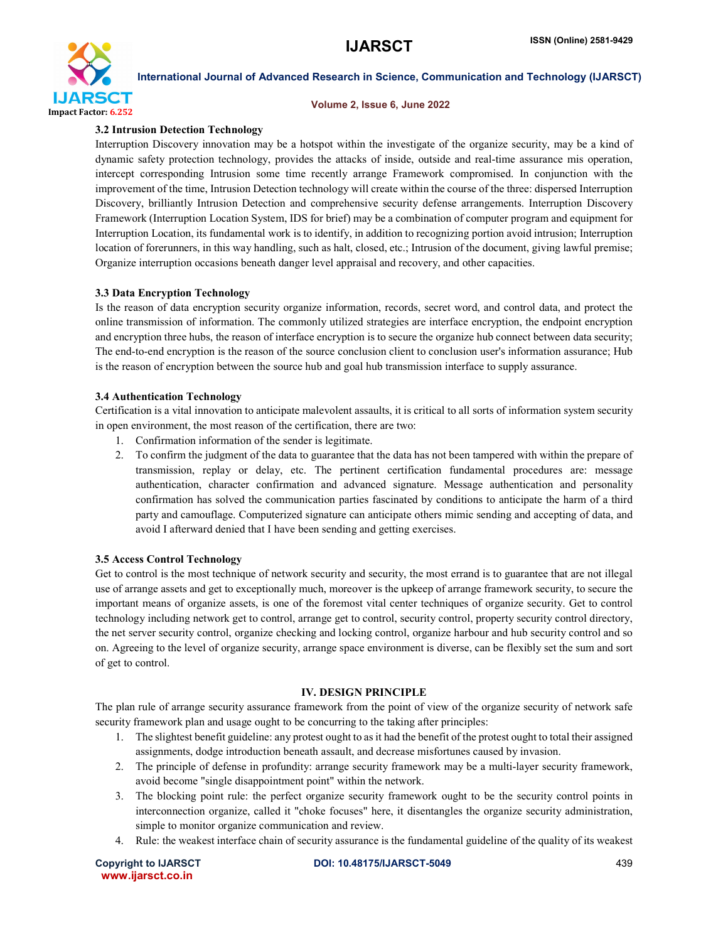

#### International Journal of Advanced Research in Science, Communication and Technology (IJARSCT)

#### Volume 2, Issue 6, June 2022

#### 3.2 Intrusion Detection Technology

Interruption Discovery innovation may be a hotspot within the investigate of the organize security, may be a kind of dynamic safety protection technology, provides the attacks of inside, outside and real-time assurance mis operation, intercept corresponding Intrusion some time recently arrange Framework compromised. In conjunction with the improvement of the time, Intrusion Detection technology will create within the course of the three: dispersed Interruption Discovery, brilliantly Intrusion Detection and comprehensive security defense arrangements. Interruption Discovery Framework (Interruption Location System, IDS for brief) may be a combination of computer program and equipment for Interruption Location, its fundamental work is to identify, in addition to recognizing portion avoid intrusion; Interruption location of forerunners, in this way handling, such as halt, closed, etc.; Intrusion of the document, giving lawful premise; Organize interruption occasions beneath danger level appraisal and recovery, and other capacities.

#### 3.3 Data Encryption Technology

Is the reason of data encryption security organize information, records, secret word, and control data, and protect the online transmission of information. The commonly utilized strategies are interface encryption, the endpoint encryption and encryption three hubs, the reason of interface encryption is to secure the organize hub connect between data security; The end-to-end encryption is the reason of the source conclusion client to conclusion user's information assurance; Hub is the reason of encryption between the source hub and goal hub transmission interface to supply assurance.

#### 3.4 Authentication Technology

Certification is a vital innovation to anticipate malevolent assaults, it is critical to all sorts of information system security in open environment, the most reason of the certification, there are two:

- 1. Confirmation information of the sender is legitimate.
- 2. To confirm the judgment of the data to guarantee that the data has not been tampered with within the prepare of transmission, replay or delay, etc. The pertinent certification fundamental procedures are: message authentication, character confirmation and advanced signature. Message authentication and personality confirmation has solved the communication parties fascinated by conditions to anticipate the harm of a third party and camouflage. Computerized signature can anticipate others mimic sending and accepting of data, and avoid I afterward denied that I have been sending and getting exercises.

#### 3.5 Access Control Technology

Get to control is the most technique of network security and security, the most errand is to guarantee that are not illegal use of arrange assets and get to exceptionally much, moreover is the upkeep of arrange framework security, to secure the important means of organize assets, is one of the foremost vital center techniques of organize security. Get to control technology including network get to control, arrange get to control, security control, property security control directory, the net server security control, organize checking and locking control, organize harbour and hub security control and so on. Agreeing to the level of organize security, arrange space environment is diverse, can be flexibly set the sum and sort of get to control.

#### IV. DESIGN PRINCIPLE

The plan rule of arrange security assurance framework from the point of view of the organize security of network safe security framework plan and usage ought to be concurring to the taking after principles:

- 1. The slightest benefit guideline: any protest ought to as it had the benefit of the protest ought to total their assigned assignments, dodge introduction beneath assault, and decrease misfortunes caused by invasion.
- 2. The principle of defense in profundity: arrange security framework may be a multi-layer security framework, avoid become "single disappointment point" within the network.
- 3. The blocking point rule: the perfect organize security framework ought to be the security control points in interconnection organize, called it "choke focuses" here, it disentangles the organize security administration, simple to monitor organize communication and review.
- 4. Rule: the weakest interface chain of security assurance is the fundamental guideline of the quality of its weakest